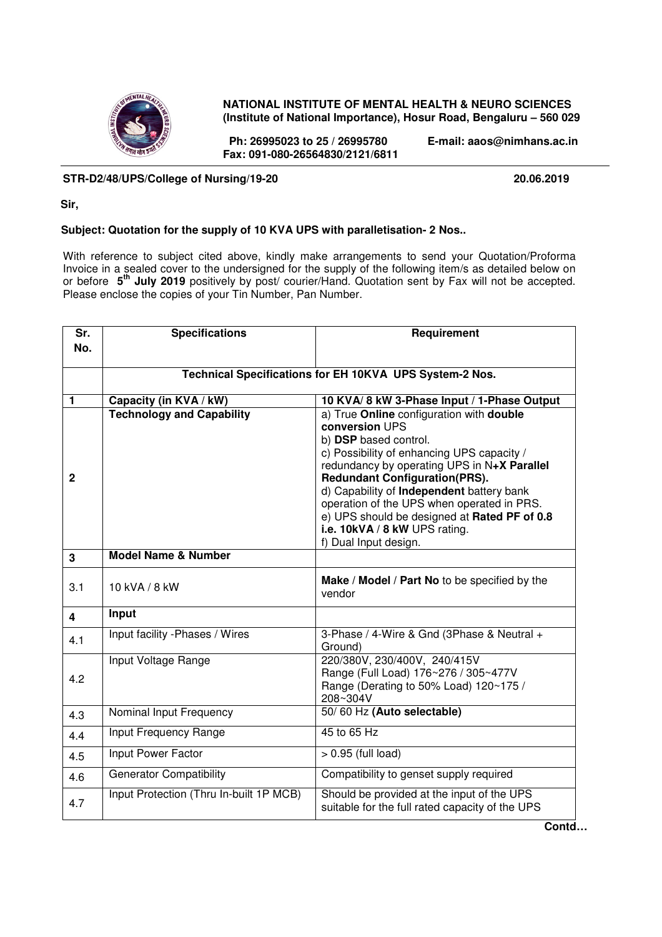

# **NATIONAL INSTITUTE OF MENTAL HEALTH & NEURO SCIENCES (Institute of National Importance), Hosur Road, Bengaluru – 560 029**

 **Ph: 26995023 to 25 / 26995780 E-mail: aaos@nimhans.ac.in Fax: 091-080-26564830/2121/6811** 

# **STR-D2/48/UPS/College of Nursing/19-20 20.06.2019**

 **Sir,** 

### **Subject: Quotation for the supply of 10 KVA UPS with paralletisation- 2 Nos..**

With reference to subject cited above, kindly make arrangements to send your Quotation/Proforma Invoice in a sealed cover to the undersigned for the supply of the following item/s as detailed below on or before **5 th July 2019** positively by post/ courier/Hand. Quotation sent by Fax will not be accepted. Please enclose the copies of your Tin Number, Pan Number.

| Sr.            | <b>Specifications</b>                                   | Requirement                                                                                                                                                                                                                                                                                                                                                                                                                   |  |  |
|----------------|---------------------------------------------------------|-------------------------------------------------------------------------------------------------------------------------------------------------------------------------------------------------------------------------------------------------------------------------------------------------------------------------------------------------------------------------------------------------------------------------------|--|--|
| No.            |                                                         |                                                                                                                                                                                                                                                                                                                                                                                                                               |  |  |
|                |                                                         |                                                                                                                                                                                                                                                                                                                                                                                                                               |  |  |
|                | Technical Specifications for EH 10KVA UPS System-2 Nos. |                                                                                                                                                                                                                                                                                                                                                                                                                               |  |  |
| 1              | Capacity (in KVA / kW)                                  | 10 KVA/8 kW 3-Phase Input / 1-Phase Output                                                                                                                                                                                                                                                                                                                                                                                    |  |  |
| $\overline{2}$ | <b>Technology and Capability</b>                        | a) True Online configuration with double<br>conversion UPS<br>b) DSP based control.<br>c) Possibility of enhancing UPS capacity /<br>redundancy by operating UPS in N+X Parallel<br><b>Redundant Configuration(PRS).</b><br>d) Capability of Independent battery bank<br>operation of the UPS when operated in PRS.<br>e) UPS should be designed at Rated PF of 0.8<br>i.e. 10kVA / 8 kW UPS rating.<br>f) Dual Input design. |  |  |
| 3              | <b>Model Name &amp; Number</b>                          |                                                                                                                                                                                                                                                                                                                                                                                                                               |  |  |
| 3.1            | 10 kVA / 8 kW                                           | Make / Model / Part No to be specified by the<br>vendor                                                                                                                                                                                                                                                                                                                                                                       |  |  |
| 4              | Input                                                   |                                                                                                                                                                                                                                                                                                                                                                                                                               |  |  |
| 4.1            | Input facility - Phases / Wires                         | 3-Phase / 4-Wire & Gnd (3Phase & Neutral +<br>Ground)                                                                                                                                                                                                                                                                                                                                                                         |  |  |
| 4.2            | Input Voltage Range                                     | 220/380V, 230/400V, 240/415V<br>Range (Full Load) 176~276 / 305~477V<br>Range (Derating to 50% Load) 120~175 /<br>208~304V                                                                                                                                                                                                                                                                                                    |  |  |
| 4.3            | Nominal Input Frequency                                 | 50/60 Hz (Auto selectable)                                                                                                                                                                                                                                                                                                                                                                                                    |  |  |
| 4.4            | Input Frequency Range                                   | 45 to 65 Hz                                                                                                                                                                                                                                                                                                                                                                                                                   |  |  |
| 4.5            | Input Power Factor                                      | $> 0.95$ (full load)                                                                                                                                                                                                                                                                                                                                                                                                          |  |  |
| 4.6            | <b>Generator Compatibility</b>                          | Compatibility to genset supply required                                                                                                                                                                                                                                                                                                                                                                                       |  |  |
| 4.7            | Input Protection (Thru In-built 1P MCB)                 | Should be provided at the input of the UPS<br>suitable for the full rated capacity of the UPS                                                                                                                                                                                                                                                                                                                                 |  |  |

**Contd…**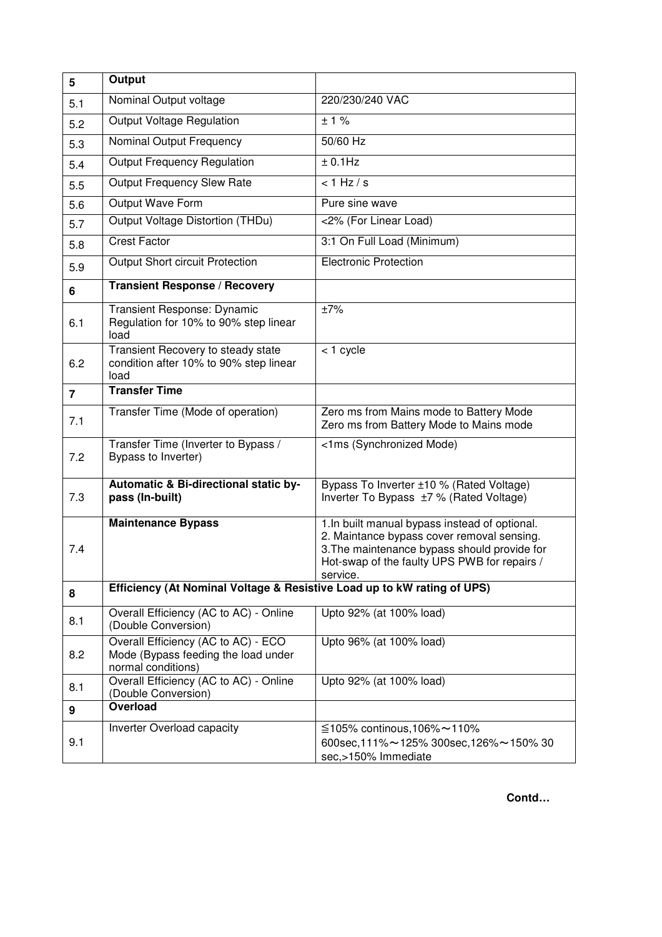| 5              | Output                                                                                           |                                                                                                                                                                                                          |  |
|----------------|--------------------------------------------------------------------------------------------------|----------------------------------------------------------------------------------------------------------------------------------------------------------------------------------------------------------|--|
| 5.1            | Nominal Output voltage                                                                           | 220/230/240 VAC                                                                                                                                                                                          |  |
| 5.2            | Output Voltage Regulation                                                                        | ± 1%                                                                                                                                                                                                     |  |
| 5.3            | Nominal Output Frequency                                                                         | 50/60 Hz                                                                                                                                                                                                 |  |
| 5.4            | <b>Output Frequency Regulation</b>                                                               | $± 0.1$ Hz                                                                                                                                                                                               |  |
| 5.5            | <b>Output Frequency Slew Rate</b>                                                                | < 1 Hz/s                                                                                                                                                                                                 |  |
| 5.6            | Output Wave Form                                                                                 | Pure sine wave                                                                                                                                                                                           |  |
| 5.7            | Output Voltage Distortion (THDu)                                                                 | <2% (For Linear Load)                                                                                                                                                                                    |  |
| 5.8            | <b>Crest Factor</b>                                                                              | 3:1 On Full Load (Minimum)                                                                                                                                                                               |  |
| 5.9            | Output Short circuit Protection                                                                  | <b>Electronic Protection</b>                                                                                                                                                                             |  |
| 6              | <b>Transient Response / Recovery</b>                                                             |                                                                                                                                                                                                          |  |
| 6.1            | Transient Response: Dynamic<br>Regulation for 10% to 90% step linear<br>load                     | ±7%                                                                                                                                                                                                      |  |
| 6.2            | Transient Recovery to steady state<br>condition after 10% to 90% step linear<br>load             | < 1 cycle                                                                                                                                                                                                |  |
| $\overline{7}$ | <b>Transfer Time</b>                                                                             |                                                                                                                                                                                                          |  |
| 7.1            | Transfer Time (Mode of operation)                                                                | Zero ms from Mains mode to Battery Mode<br>Zero ms from Battery Mode to Mains mode                                                                                                                       |  |
| 7.2            | Transfer Time (Inverter to Bypass /<br>Bypass to Inverter)                                       | <1ms (Synchronized Mode)                                                                                                                                                                                 |  |
| 7.3            | Automatic & Bi-directional static by-<br>pass (In-built)                                         | Bypass To Inverter ±10 % (Rated Voltage)<br>Inverter To Bypass ±7 % (Rated Voltage)                                                                                                                      |  |
| 7.4            | <b>Maintenance Bypass</b>                                                                        | 1. In built manual bypass instead of optional.<br>2. Maintance bypass cover removal sensing.<br>3. The maintenance bypass should provide for<br>Hot-swap of the faulty UPS PWB for repairs /<br>service. |  |
| 8              | Efficiency (At Nominal Voltage & Resistive Load up to kW rating of UPS)                          |                                                                                                                                                                                                          |  |
| 8.1            | Overall Efficiency (AC to AC) - Online<br>(Double Conversion)                                    | Upto 92% (at 100% load)                                                                                                                                                                                  |  |
| 8.2            | Overall Efficiency (AC to AC) - ECO<br>Mode (Bypass feeding the load under<br>normal conditions) | Upto 96% (at 100% load)                                                                                                                                                                                  |  |
| 8.1            | Overall Efficiency (AC to AC) - Online<br>(Double Conversion)                                    | Upto 92% (at 100% load)                                                                                                                                                                                  |  |
| 9              | Overload                                                                                         |                                                                                                                                                                                                          |  |
| 9.1            | Inverter Overload capacity                                                                       | ≦105% continous,106%~110%<br>600sec, 111% ~ 125% 300sec, 126% ~ 150% 30<br>sec,>150% Immediate                                                                                                           |  |

 **Contd…**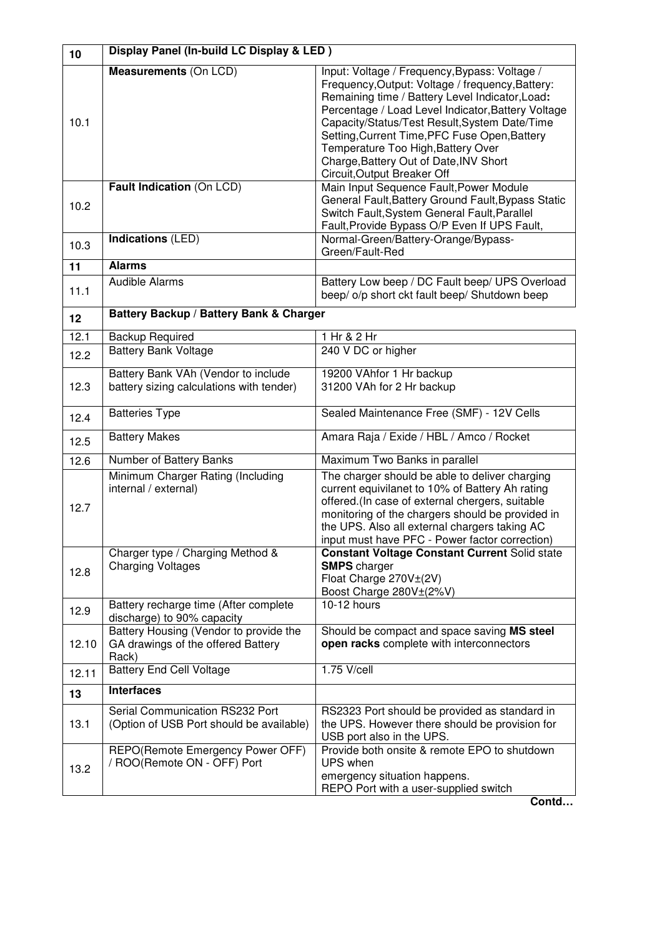| 10    | Display Panel (In-build LC Display & LED)                                             |                                                                                                                                                                                                                                                                                                                                                                                                                             |  |
|-------|---------------------------------------------------------------------------------------|-----------------------------------------------------------------------------------------------------------------------------------------------------------------------------------------------------------------------------------------------------------------------------------------------------------------------------------------------------------------------------------------------------------------------------|--|
| 10.1  | <b>Measurements (On LCD)</b>                                                          | Input: Voltage / Frequency, Bypass: Voltage /<br>Frequency, Output: Voltage / frequency, Battery:<br>Remaining time / Battery Level Indicator, Load:<br>Percentage / Load Level Indicator, Battery Voltage<br>Capacity/Status/Test Result, System Date/Time<br>Setting, Current Time, PFC Fuse Open, Battery<br>Temperature Too High, Battery Over<br>Charge, Battery Out of Date, INV Short<br>Circuit, Output Breaker Off |  |
| 10.2  | Fault Indication (On LCD)                                                             | Main Input Sequence Fault, Power Module<br>General Fault, Battery Ground Fault, Bypass Static<br>Switch Fault, System General Fault, Parallel<br>Fault, Provide Bypass O/P Even If UPS Fault,                                                                                                                                                                                                                               |  |
| 10.3  | Indications (LED)                                                                     | Normal-Green/Battery-Orange/Bypass-<br>Green/Fault-Red                                                                                                                                                                                                                                                                                                                                                                      |  |
| 11    | <b>Alarms</b>                                                                         |                                                                                                                                                                                                                                                                                                                                                                                                                             |  |
| 11.1  | <b>Audible Alarms</b>                                                                 | Battery Low beep / DC Fault beep/ UPS Overload<br>beep/ o/p short ckt fault beep/ Shutdown beep                                                                                                                                                                                                                                                                                                                             |  |
| 12    | Battery Backup / Battery Bank & Charger                                               |                                                                                                                                                                                                                                                                                                                                                                                                                             |  |
| 12.1  | <b>Backup Required</b>                                                                | 1 Hr & 2 Hr                                                                                                                                                                                                                                                                                                                                                                                                                 |  |
| 12.2  | <b>Battery Bank Voltage</b>                                                           | 240 V DC or higher                                                                                                                                                                                                                                                                                                                                                                                                          |  |
| 12.3  | Battery Bank VAh (Vendor to include<br>battery sizing calculations with tender)       | 19200 VAhfor 1 Hr backup<br>31200 VAh for 2 Hr backup                                                                                                                                                                                                                                                                                                                                                                       |  |
| 12.4  | <b>Batteries Type</b>                                                                 | Sealed Maintenance Free (SMF) - 12V Cells                                                                                                                                                                                                                                                                                                                                                                                   |  |
| 12.5  | <b>Battery Makes</b>                                                                  | Amara Raja / Exide / HBL / Amco / Rocket                                                                                                                                                                                                                                                                                                                                                                                    |  |
| 12.6  | Number of Battery Banks                                                               | Maximum Two Banks in parallel                                                                                                                                                                                                                                                                                                                                                                                               |  |
| 12.7  | Minimum Charger Rating (Including<br>internal / external)                             | The charger should be able to deliver charging<br>current equivilanet to 10% of Battery Ah rating<br>offered.(In case of external chergers, suitable<br>monitoring of the chargers should be provided in<br>the UPS. Also all external chargers taking AC<br>input must have PFC - Power factor correction)                                                                                                                 |  |
| 12.8  | Charger type / Charging Method &<br><b>Charging Voltages</b>                          | <b>Constant Voltage Constant Current Solid state</b><br><b>SMPS</b> charger<br>Float Charge 270V±(2V)<br>Boost Charge 280V±(2%V)                                                                                                                                                                                                                                                                                            |  |
| 12.9  | Battery recharge time (After complete<br>discharge) to 90% capacity                   | $10-12$ hours                                                                                                                                                                                                                                                                                                                                                                                                               |  |
| 12.10 | Battery Housing (Vendor to provide the<br>GA drawings of the offered Battery<br>Rack) | Should be compact and space saving MS steel<br>open racks complete with interconnectors                                                                                                                                                                                                                                                                                                                                     |  |
| 12.11 | <b>Battery End Cell Voltage</b>                                                       | 1.75 V/cell                                                                                                                                                                                                                                                                                                                                                                                                                 |  |
| 13    | <b>Interfaces</b>                                                                     |                                                                                                                                                                                                                                                                                                                                                                                                                             |  |
| 13.1  | Serial Communication RS232 Port<br>(Option of USB Port should be available)           | RS2323 Port should be provided as standard in<br>the UPS. However there should be provision for<br>USB port also in the UPS.                                                                                                                                                                                                                                                                                                |  |
| 13.2  | REPO(Remote Emergency Power OFF)<br>/ ROO(Remote ON - OFF) Port                       | Provide both onsite & remote EPO to shutdown<br>UPS when<br>emergency situation happens.<br>REPO Port with a user-supplied switch<br>Contd                                                                                                                                                                                                                                                                                  |  |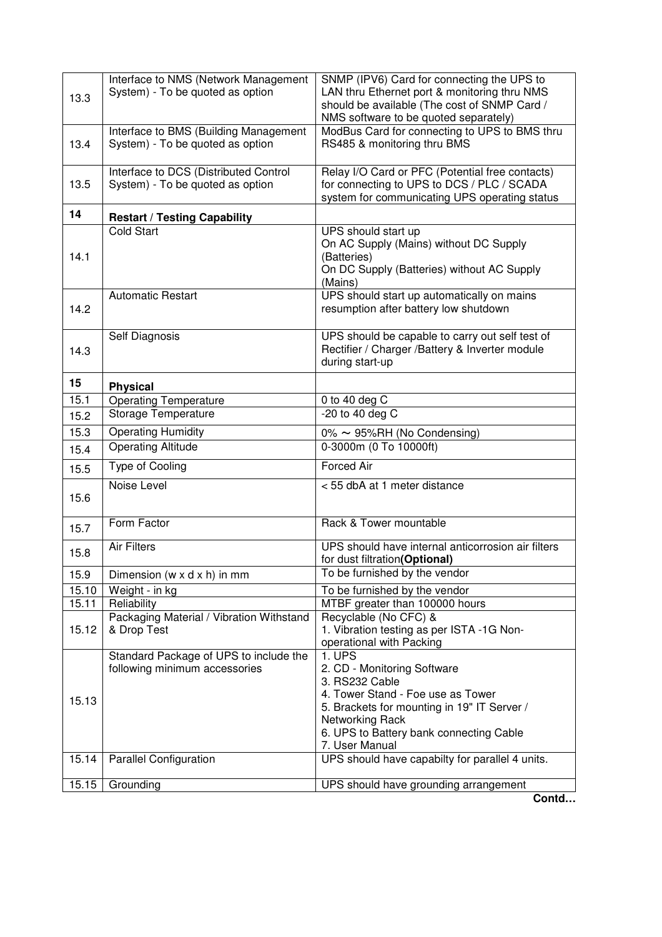| 13.3  | Interface to NMS (Network Management<br>System) - To be quoted as option  | SNMP (IPV6) Card for connecting the UPS to<br>LAN thru Ethernet port & monitoring thru NMS<br>should be available (The cost of SNMP Card /<br>NMS software to be quoted separately)                                         |
|-------|---------------------------------------------------------------------------|-----------------------------------------------------------------------------------------------------------------------------------------------------------------------------------------------------------------------------|
| 13.4  | Interface to BMS (Building Management<br>System) - To be quoted as option | ModBus Card for connecting to UPS to BMS thru<br>RS485 & monitoring thru BMS                                                                                                                                                |
| 13.5  | Interface to DCS (Distributed Control<br>System) - To be quoted as option | Relay I/O Card or PFC (Potential free contacts)<br>for connecting to UPS to DCS / PLC / SCADA<br>system for communicating UPS operating status                                                                              |
| 14    | <b>Restart / Testing Capability</b>                                       |                                                                                                                                                                                                                             |
| 14.1  | <b>Cold Start</b>                                                         | UPS should start up<br>On AC Supply (Mains) without DC Supply<br>(Batteries)<br>On DC Supply (Batteries) without AC Supply<br>(Mains)                                                                                       |
| 14.2  | <b>Automatic Restart</b>                                                  | UPS should start up automatically on mains<br>resumption after battery low shutdown                                                                                                                                         |
| 14.3  | Self Diagnosis                                                            | UPS should be capable to carry out self test of<br>Rectifier / Charger / Battery & Inverter module<br>during start-up                                                                                                       |
| 15    | <b>Physical</b>                                                           |                                                                                                                                                                                                                             |
| 15.1  | <b>Operating Temperature</b>                                              | 0 to 40 deg C                                                                                                                                                                                                               |
| 15.2  | Storage Temperature                                                       | $-20$ to 40 deg C                                                                                                                                                                                                           |
| 15.3  | <b>Operating Humidity</b>                                                 | 0% ~ 95%RH (No Condensing)                                                                                                                                                                                                  |
| 15.4  | <b>Operating Altitude</b>                                                 | 0-3000m (0 To 10000ft)                                                                                                                                                                                                      |
| 15.5  | Type of Cooling                                                           | <b>Forced Air</b>                                                                                                                                                                                                           |
| 15.6  | Noise Level                                                               | < 55 dbA at 1 meter distance                                                                                                                                                                                                |
| 15.7  | Form Factor                                                               | Rack & Tower mountable                                                                                                                                                                                                      |
| 15.8  | <b>Air Filters</b>                                                        | UPS should have internal anticorrosion air filters<br>for dust filtration(Optional)                                                                                                                                         |
| 15.9  | Dimension ( $w \times d \times h$ ) in mm                                 | To be furnished by the vendor                                                                                                                                                                                               |
| 15.10 | Weight - in kg                                                            | To be furnished by the vendor                                                                                                                                                                                               |
| 15.11 | Reliability                                                               | MTBF greater than 100000 hours                                                                                                                                                                                              |
| 15.12 | Packaging Material / Vibration Withstand<br>& Drop Test                   | Recyclable (No CFC) &<br>1. Vibration testing as per ISTA -1G Non-<br>operational with Packing                                                                                                                              |
| 15.13 | Standard Package of UPS to include the<br>following minimum accessories   | 1. UPS<br>2. CD - Monitoring Software<br>3. RS232 Cable<br>4. Tower Stand - Foe use as Tower<br>5. Brackets for mounting in 19" IT Server /<br>Networking Rack<br>6. UPS to Battery bank connecting Cable<br>7. User Manual |
| 15.14 | <b>Parallel Configuration</b>                                             | UPS should have capabilty for parallel 4 units.                                                                                                                                                                             |
| 15.15 | Grounding                                                                 | UPS should have grounding arrangement<br>Contd                                                                                                                                                                              |
|       |                                                                           |                                                                                                                                                                                                                             |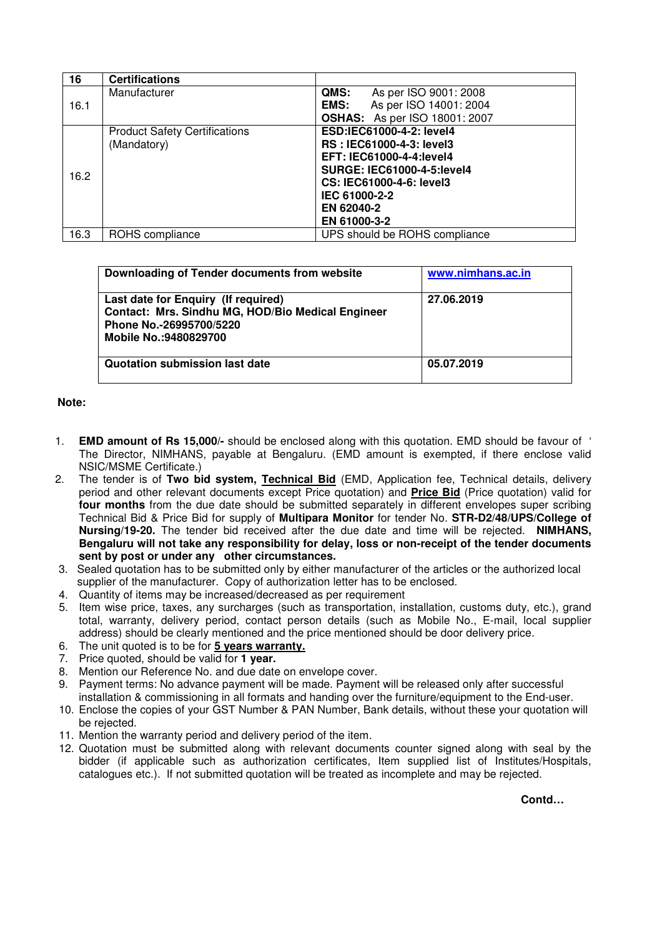| 16   | <b>Certifications</b>                |                                       |
|------|--------------------------------------|---------------------------------------|
|      | Manufacturer                         | QMS:<br>As per ISO 9001: 2008         |
| 16.1 |                                      | As per ISO 14001: 2004<br><b>EMS:</b> |
|      |                                      | <b>OSHAS:</b> As per ISO 18001: 2007  |
|      | <b>Product Safety Certifications</b> | ESD:IEC61000-4-2: level4              |
|      | (Mandatory)                          | RS: IEC61000-4-3: level3              |
|      |                                      | <b>EFT: IEC61000-4-4: level4</b>      |
| 16.2 |                                      | <b>SURGE: IEC61000-4-5: level4</b>    |
|      |                                      | CS: IEC61000-4-6: level3              |
|      |                                      | IEC 61000-2-2                         |
|      |                                      | EN 62040-2                            |
|      |                                      | EN 61000-3-2                          |
| 16.3 | ROHS compliance                      | UPS should be ROHS compliance         |

| Downloading of Tender documents from website                                                                                                  | www.nimhans.ac.in |
|-----------------------------------------------------------------------------------------------------------------------------------------------|-------------------|
| Last date for Enquiry (If required)<br>Contact: Mrs. Sindhu MG, HOD/Bio Medical Engineer<br>Phone No.-26995700/5220<br>Mobile No.: 9480829700 | 27.06.2019        |
| Quotation submission last date                                                                                                                | 05.07.2019        |

# **Note:**

- 1. **EMD amount of Rs 15,000/-** should be enclosed along with this quotation. EMD should be favour of ' The Director, NIMHANS, payable at Bengaluru. (EMD amount is exempted, if there enclose valid NSIC/MSME Certificate.)
- 2. The tender is of **Two bid system, Technical Bid** (EMD, Application fee, Technical details, delivery period and other relevant documents except Price quotation) and **Price Bid** (Price quotation) valid for **four months** from the due date should be submitted separately in different envelopes super scribing Technical Bid & Price Bid for supply of **Multipara Monitor** for tender No. **STR-D2/48/UPS/College of Nursing/19-20.** The tender bid received after the due date and time will be rejected. **NIMHANS, Bengaluru will not take any responsibility for delay, loss or non-receipt of the tender documents sent by post or under any other circumstances.**
- 3. Sealed quotation has to be submitted only by either manufacturer of the articles or the authorized local supplier of the manufacturer. Copy of authorization letter has to be enclosed.
- 4. Quantity of items may be increased/decreased as per requirement
- 5. Item wise price, taxes, any surcharges (such as transportation, installation, customs duty, etc.), grand total, warranty, delivery period, contact person details (such as Mobile No., E-mail, local supplier address) should be clearly mentioned and the price mentioned should be door delivery price.
- 6. The unit quoted is to be for **5 years warranty.**
- 7. Price quoted, should be valid for **1 year.**
- 8. Mention our Reference No. and due date on envelope cover.
- 9. Payment terms: No advance payment will be made. Payment will be released only after successful installation & commissioning in all formats and handing over the furniture/equipment to the End-user.
- 10. Enclose the copies of your GST Number & PAN Number, Bank details, without these your quotation will be rejected.
- 11. Mention the warranty period and delivery period of the item.
- 12. Quotation must be submitted along with relevant documents counter signed along with seal by the bidder (if applicable such as authorization certificates, Item supplied list of Institutes/Hospitals, catalogues etc.). If not submitted quotation will be treated as incomplete and may be rejected.

**Contd…**